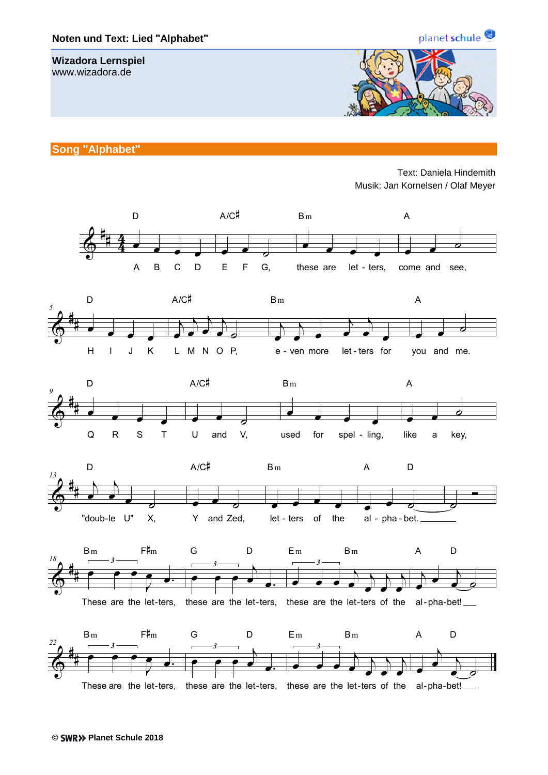## **Noten und Text: Lied "Alphabet"**

## **Wizadora Lernspiel**

www.wizadora.de



**Song "Alphabet"**

Text: Daniela Hindemith Musik: Jan Kornelsen / Olaf Meyer